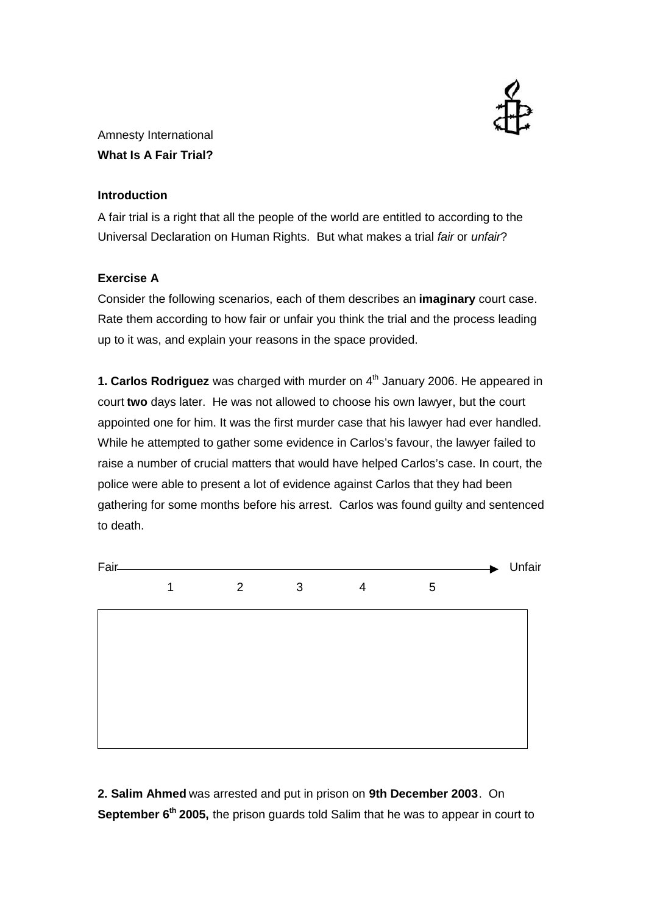

Amnesty International **What Is A Fair Trial?**

## **Introduction**

A fair trial is a right that all the people of the world are entitled to according to the Universal Declaration on Human Rights. But what makes a trial *fair* or *unfair*?

## **Exercise A**

Consider the following scenarios, each of them describes an **imaginary** court case. Rate them according to how fair or unfair you think the trial and the process leading up to it was, and explain your reasons in the space provided.

**1. Carlos Rodriguez** was charged with murder on 4<sup>th</sup> January 2006. He appeared in court **two** days later. He was not allowed to choose his own lawyer, but the court appointed one for him. It was the first murder case that his lawyer had ever handled. While he attempted to gather some evidence in Carlos's favour, the lawyer failed to raise a number of crucial matters that would have helped Carlos's case. In court, the police were able to present a lot of evidence against Carlos that they had been gathering for some months before his arrest. Carlos was found guilty and sentenced to death.



**2. Salim Ahmed** was arrested and put in prison on **9th December 2003**. On **September 6th 2005,** the prison guards told Salim that he was to appear in court to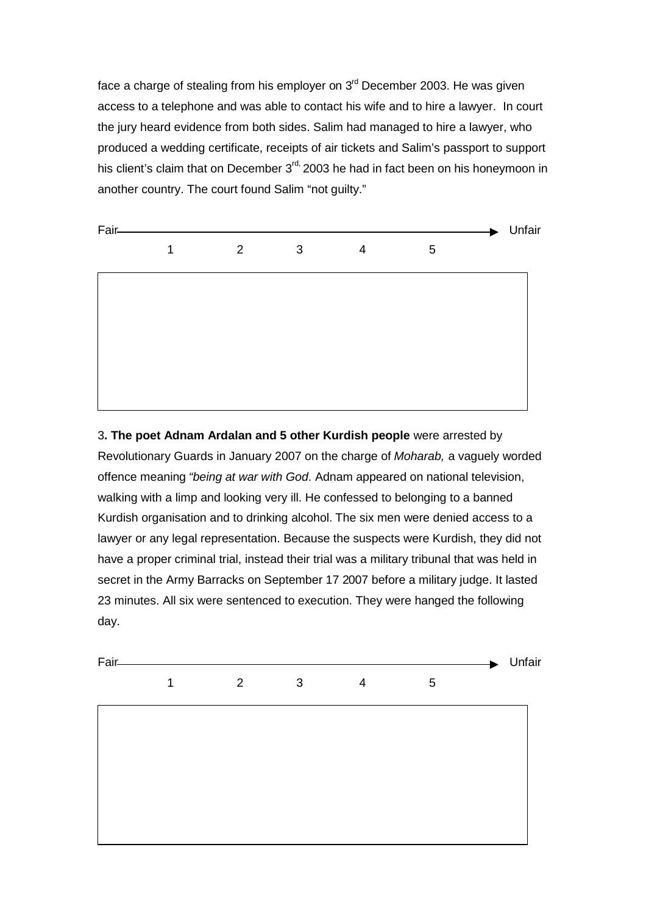face a charge of stealing from his employer on  $3<sup>rd</sup>$  December 2003. He was given access to a telephone and was able to contact his wife and to hire a lawyer. In court the jury heard evidence from both sides. Salim had managed to hire a lawyer, who produced a wedding certificate, receipts of air tickets and Salim's passport to support his client's claim that on December  $3<sup>rd</sup>$ , 2003 he had in fact been on his honeymoon in another country. The court found Salim "not guilty."



3**. The poet Adnam Ardalan and 5 other Kurdish people** were arrested by Revolutionary Guards in January 2007 on the charge of *Moharab,* a vaguely worded offence meaning *"being at war with God*. Adnam appeared on national television, walking with a limp and looking very ill. He confessed to belonging to a banned Kurdish organisation and to drinking alcohol. The six men were denied access to a lawyer or any legal representation. Because the suspects were Kurdish, they did not have a proper criminal trial, instead their trial was a military tribunal that was held in secret in the Army Barracks on September 17 2007 before a military judge. It lasted 23 minutes. All six were sentenced to execution. They were hanged the following day.

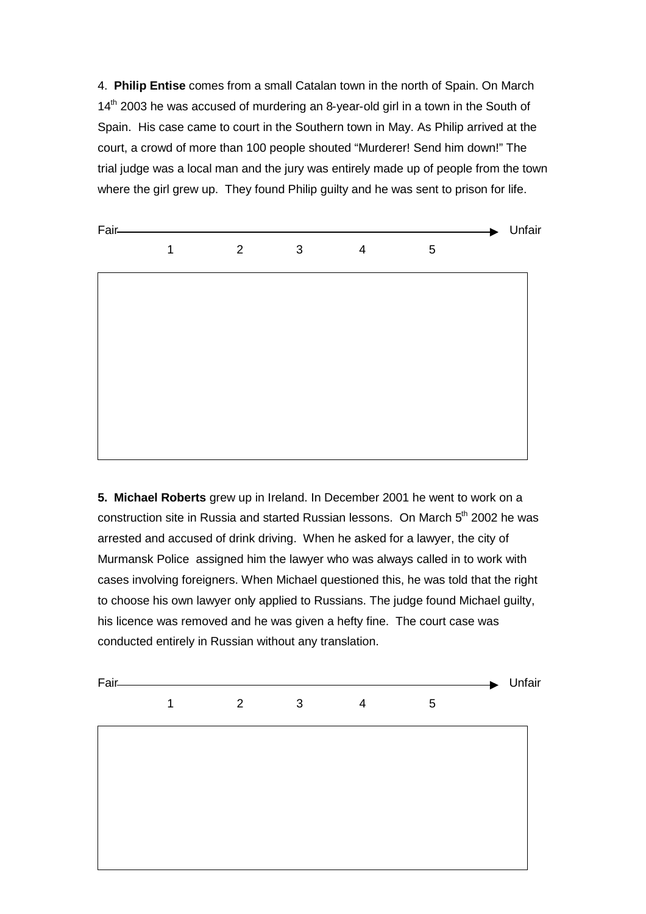4. **Philip Entise** comes from a small Catalan town in the north of Spain. On March 14<sup>th</sup> 2003 he was accused of murdering an 8-year-old girl in a town in the South of Spain. His case came to court in the Southern town in May. As Philip arrived at the court, a crowd of more than 100 people shouted "Murderer! Send him down!" The trial judge was a local man and the jury was entirely made up of people from the town where the girl grew up. They found Philip guilty and he was sent to prison for life.



**5. Michael Roberts** grew up in Ireland. In December 2001 he went to work on a construction site in Russia and started Russian lessons. On March 5<sup>th</sup> 2002 he was arrested and accused of drink driving. When he asked for a lawyer, the city of Murmansk Police assigned him the lawyer who was always called in to work with cases involving foreigners. When Michael questioned this, he was told that the right to choose his own lawyer only applied to Russians. The judge found Michael guilty, his licence was removed and he was given a hefty fine. The court case was conducted entirely in Russian without any translation.

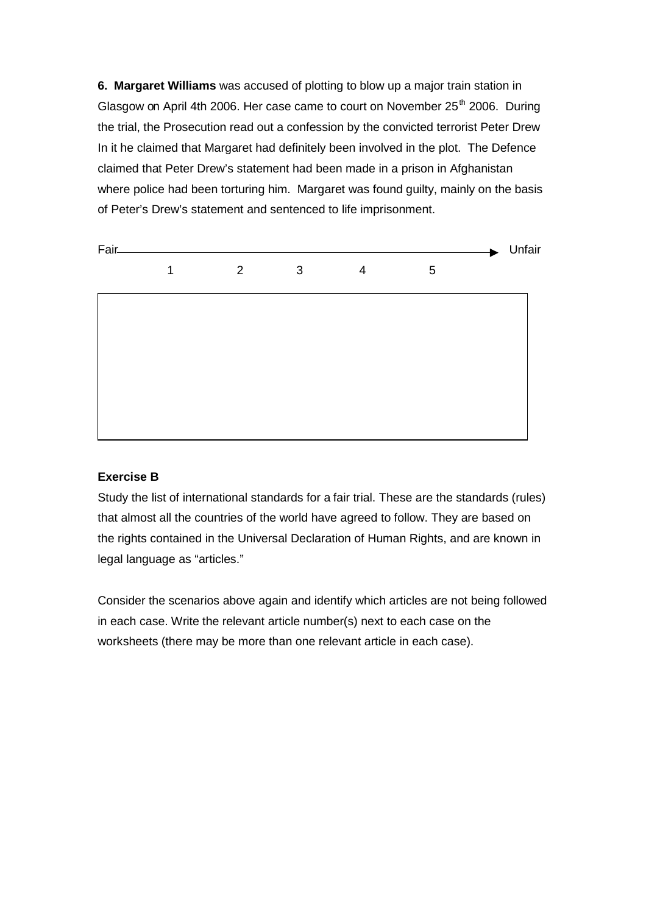**6. Margaret Williams** was accused of plotting to blow up a major train station in Glasgow on April 4th 2006. Her case came to court on November  $25<sup>th</sup>$  2006. During the trial, the Prosecution read out a confession by the convicted terrorist Peter Drew In it he claimed that Margaret had definitely been involved in the plot. The Defence claimed that Peter Drew's statement had been made in a prison in Afghanistan where police had been torturing him. Margaret was found guilty, mainly on the basis of Peter's Drew's statement and sentenced to life imprisonment.



## **Exercise B**

Study the list of international standards for a fair trial. These are the standards (rules) that almost all the countries of the world have agreed to follow. They are based on the rights contained in the Universal Declaration of Human Rights, and are known in legal language as "articles."

Consider the scenarios above again and identify which articles are not being followed in each case. Write the relevant article number(s) next to each case on the worksheets (there may be more than one relevant article in each case).